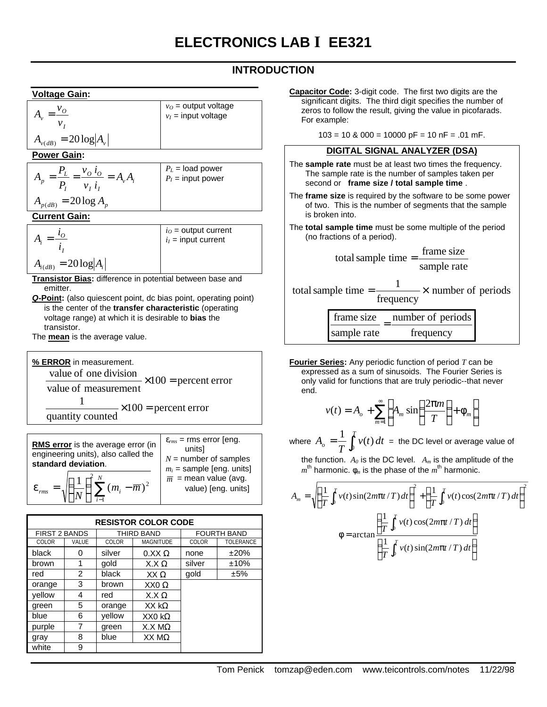# **INTRODUCTION**

#### **Voltage Gain:**

| $=\frac{6}{10}$             | $v_O$ = output voltage<br>$v_I$ = input voltage |
|-----------------------------|-------------------------------------------------|
| $A_{v(dB)} = 20 \log  A_v $ |                                                 |

#### **Power Gain:**

|                           | $P_L$ = load power<br>$P_I$ = input power |
|---------------------------|-------------------------------------------|
| $A_{p(dB)} = 20 \log A_n$ |                                           |

#### **Current Gain:**

|                             | $i_O$ = output current<br>$i_I$ = input current |
|-----------------------------|-------------------------------------------------|
| $A_{i(dB)} = 20 \log  A_i $ |                                                 |

- **Transistor Bias:** difference in potential between base and emitter.
- *Q***-Point:** (also quiescent point, dc bias point, operating point) is the center of the **transfer characteristic** (operating voltage range) at which it is desirable to **bias** the transistor.

The **mean** is the average value.

**% ERROR** in measurement. value of one division<br> $\times 100$  = percent error value of measurement  $\times 100$  = percent error quantity counted 1

| RMS error is the average error (in<br>engineering units), also called the<br>standard deviation. | $\varepsilon_{rms}$ = rms error [eng.<br>unitsl<br>$N =$ number of samples<br>$m_i$ = sample [eng. units] |
|--------------------------------------------------------------------------------------------------|-----------------------------------------------------------------------------------------------------------|
| $=\sqrt{\left(\frac{1}{N}\right)^{2} \sum_{i=1}^{N}(m_{i}-\overline{m})^{2}}$                    | $\overline{m}$ = mean value (avg.<br>value) [eng. units]                                                  |

| <b>RESISTOR COLOR CODE</b> |       |            |                  |                    |                  |
|----------------------------|-------|------------|------------------|--------------------|------------------|
| <b>FIRST 2 BANDS</b>       |       | THIRD BAND |                  | <b>FOURTH BAND</b> |                  |
| COLOR                      | VALUE | COLOR      | <b>MAGNITUDE</b> | COLOR              | <b>TOLERANCE</b> |
| black                      | Ω     | silver     | $0.XX\Omega$     | none               | ±20%             |
| brown                      | 1     | qold       | $X.X\Omega$      | silver             | ±10%             |
| red                        | 2     | black      | $XX \Omega$      | qold               | ±5%              |
| orange                     | 3     | brown      | XX $0 \Omega$    |                    |                  |
| vellow                     | 4     | red        | $X.X\Omega$      |                    |                  |
| green                      | 5     | orange     | $XX$ k $\Omega$  |                    |                  |
| blue                       | 6     | vellow     | $XX0 k\Omega$    |                    |                  |
| purple                     | 7     | green      | $X.X M\Omega$    |                    |                  |
| gray                       | 8     | blue       | $XX$ M $\Omega$  |                    |                  |
| white                      | 9     |            |                  |                    |                  |

**Capacitor Code:** 3-digit code. The first two digits are the significant digits. The third digit specifies the number of zeros to follow the result, giving the value in picofarads. For example:

 $103 = 10$  &  $000 = 10000$  pF = 10 nF = .01 mF.

#### **DIGITAL SIGNAL ANALYZER (DSA)**

- The **sample rate** must be at least two times the frequency. The sample rate is the number of samples taken per second or **frame size / total sample time** .
- The **frame size** is required by the software to be some power of two. This is the number of segments that the sample is broken into.
- The **total sample time** must be some multiple of the period (no fractions of a period).

total sample time = 
$$
\frac{\text{frame size}}{\text{sample rate}}
$$
  
total sample time =  $\frac{1}{\text{frequency}} \times$  number of periods

frequency number of periods sample rate frame size =

**Fourier Series:** Any periodic function of period *T* can be expressed as a sum of sinusoids. The Fourier Series is only valid for functions that are truly periodic--that never end.

$$
v(t) = A_o + \sum_{m=1}^{\infty} \left[ A_m \sin\left(\frac{2\pi m}{T}\right) + \phi_m \right]
$$

where  $A_o = \frac{1}{T} \int_0^T$  $v_o = \frac{1}{T} \int_0^T v(t) dt$ *T*  $A_{_O}=\displaystyle\frac{1}{T}\int_0^T v(t)\,dt\ =\ {\rm the\ DC\ level\ or\ average\ value\ of}$ 

the function.  $A_0$  is the DC level.  $A_m$  is the amplitude of the  $m^{\text{th}}$  harmonic.  $φ_m$  is the phase of the  $m^{\text{th}}$  harmonic.

$$
A_m = \sqrt{\left(\frac{1}{T}\int_0^T v(t)\sin(2m\pi t/T)dt\right)^2 + \left(\frac{1}{T}\int_0^T v(t)\cos(2m\pi t/T)dt\right)^2}
$$
  

$$
\phi = \arctan\left(\frac{\frac{1}{T}\int_0^T v(t)\cos(2m\pi t/T)dt}{\left(\frac{1}{T}\int_0^T v(t)\sin(2m\pi t/T)dt\right)}\right)
$$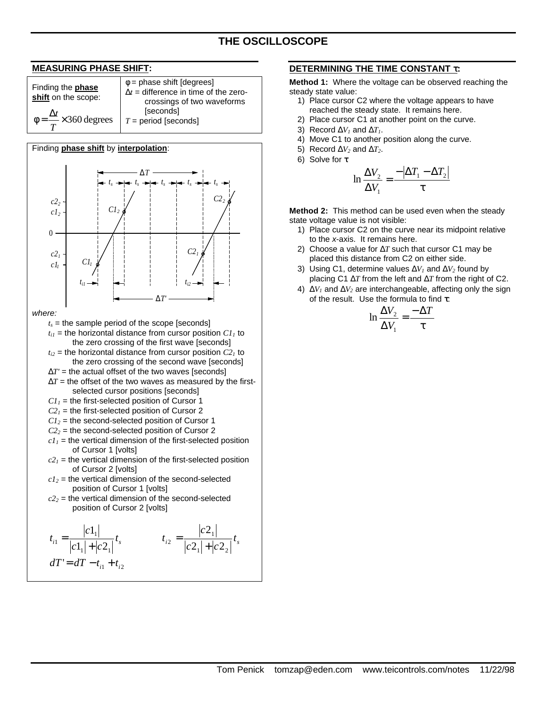# **THE OSCILLOSCOPE**

#### **MEASURING PHASE SHIFT:** Finding the **phase shift** on the scope:  $\times$ 360 degrees  $\phi =$ *T t* φ = phase shift [degrees]  $\Delta t$  = difference in time of the zerocrossings of two waveforms **[seconds]** *T* = period [seconds] Finding **phase shift** by **interpolation**:  $\Omega$ *c1<sup>1</sup> c2<sup>1</sup>* Δ*T' C1<sup>1</sup>*  $t_{iI}$ *c2 2 2 c1* Δ*T C1<sup>2</sup> ts ts ts ti2 C2<sup>1</sup> s C2 ts t 2 where:*  $t_s$  = the sample period of the scope [seconds]  $t_{ij}$  = the horizontal distance from cursor position  $CI<sub>i</sub>$  to the zero crossing of the first wave [seconds]  $t_{i2}$  = the horizontal distance from cursor position  $C2<sub>1</sub>$  to the zero crossing of the second wave [seconds]  $\Delta T$ ' = the actual offset of the two waves [seconds]  $\Delta T$  = the offset of the two waves as measured by the firstselected cursor positions [seconds]  $CI<sub>1</sub>$  = the first-selected position of Cursor 1  $C2<sub>1</sub>$  = the first-selected position of Cursor 2  $CI<sub>2</sub>$  = the second-selected position of Cursor 1  $C2<sub>2</sub>$  = the second-selected position of Cursor 2  $cI_1$  = the vertical dimension of the first-selected position of Cursor 1 [volts]  $c2<sub>1</sub>$  = the vertical dimension of the first-selected position of Cursor 2 [volts]  $c_1$ <sup>2</sup> = the vertical dimension of the second-selected position of Cursor 1 [volts]  $c2<sub>2</sub>$  = the vertical dimension of the second-selected position of Cursor 2 [volts]  $t_i = \frac{|c - 1|}{|c - 1|} t_s$  $c1_1$  +  $c$ *c t*  $1$   $1^{1}$   $1^{2}$   $1$ 1  $1 - |c_1| + |c_2|$ 1 +  $t_{i2} = \frac{|c_1|}{|c_2|} t_s$   $t_{i3} = \frac{|c_2|}{|c_3|} t_{i4}$  $|c2_1| + |c|$ *c t*  $1$   $\mid$   $\mid$   $\sim$  2 1  $e^2$   $|c2_1|$  +  $|c2$ 2 + =  $dT' = dT - t_{i1} + t_{i2}$

#### **DETERMINING THE TIME CONSTANT** τ**:**

**Method 1:** Where the voltage can be observed reaching the steady state value:

- 1) Place cursor C2 where the voltage appears to have reached the steady state. It remains here.
- 2) Place cursor C1 at another point on the curve.
- 3) Record  $\Delta V_i$  and  $\Delta T_i$ .
- 4) Move C1 to another position along the curve.
- 5) Record  $\Delta V_2$  and  $\Delta T_2$ .
- 6) Solve for τ

$$
\ln \frac{\Delta V_2}{\Delta V_1} = \frac{-|\Delta T_1 - \Delta T_2|}{\tau}
$$

**Method 2:** This method can be used even when the steady state voltage value is not visible:

- 1) Place cursor C2 on the curve near its midpoint relative to the *x*-axis. It remains here.
- 2) Choose a value for Δ*T* such that cursor C1 may be placed this distance from C2 on either side.
- 3) Using C1, determine values Δ*V1* and Δ*V2* found by placing C1 Δ*T* from the left and Δ*T* from the right of C2.
- 4) Δ*V1* and Δ*V2* are interchangeable, affecting only the sign of the result. Use the formula to find τ:

$$
\ln \frac{\Delta V_2}{\Delta V_1} = \frac{-\Delta T}{\tau}
$$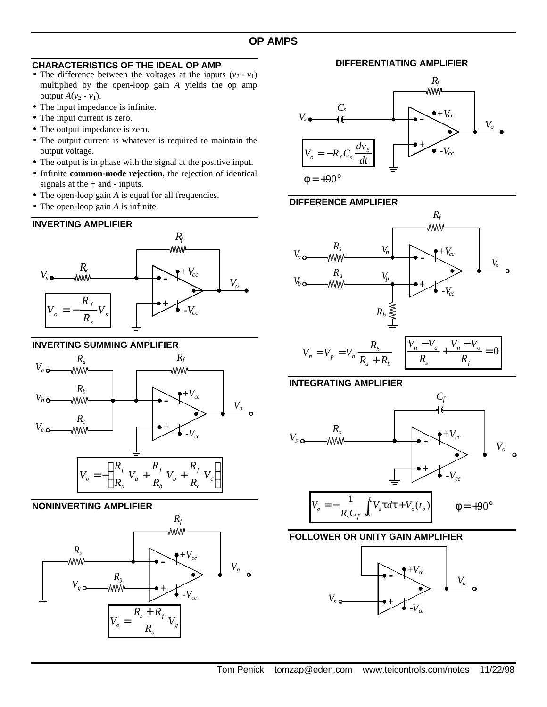### **CHARACTERISTICS OF THE IDEAL OP AMP**

- The difference between the voltages at the inputs  $(v_2 v_1)$ multiplied by the open-loop gain *A* yields the op amp output  $A(v_2 - v_1)$ .
- The input impedance is infinite.
- The input current is zero.
- The output impedance is zero.
- The output current is whatever is required to maintain the output voltage.
- The output is in phase with the signal at the positive input.
- Infinite **common-mode rejection**, the rejection of identical signals at the  $+$  and  $-$  inputs.
- The open-loop gain *A* is equal for all frequencies.
- The open-loop gain *A* is infinite.

## **INVERTING AMPLIFIER**



## **INVERTING SUMMING AMPLIFIER**



## **NONINVERTING AMPLIFIER**



**DIFFERENTIATING AMPLIFIER**



### **DIFFERENCE AMPLIFIER**





 $a \perp \mathbf{D}_b$ 



### **FOLLOWER OR UNITY GAIN AMPLIFIER**

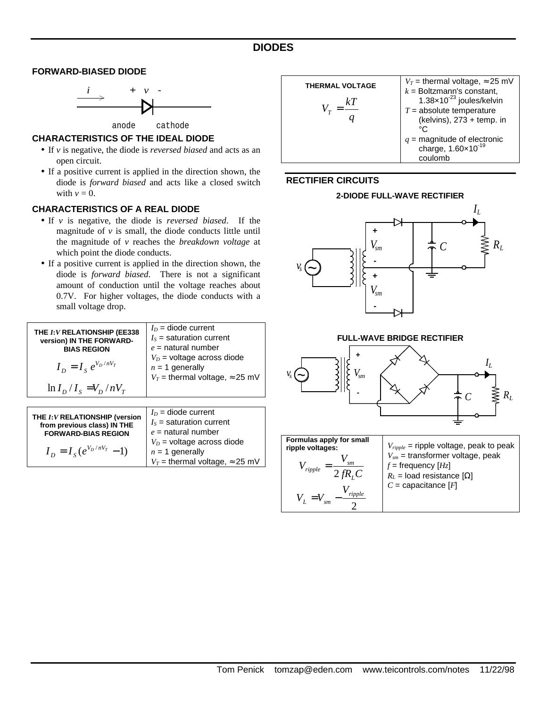### **DIODES**

#### **FORWARD-BIASED DIODE**



anode cathode

### **CHARACTERISTICS OF THE IDEAL DIODE**

- If *v* is negative, the diode is *reversed biased* and acts as an open circuit.
- If a positive current is applied in the direction shown, the diode is *forward biased* and acts like a closed switch with  $v = 0$ .

#### **CHARACTERISTICS OF A REAL DIODE**

- If *v* is negative, the diode is *reversed biased*. If the magnitude of  $\nu$  is small, the diode conducts little until the magnitude of *v* reaches the *breakdown voltage* at which point the diode conducts.
- If a positive current is applied in the direction shown, the diode is *forward biased*. There is not a significant amount of conduction until the voltage reaches about 0.7V. For higher voltages, the diode conducts with a small voltage drop.

| THE I: V RELATIONSHIP (EE338<br>version) IN THE FORWARD-<br><b>BIAS REGION</b> | $I_D$ = diode current<br>$I_S$ = saturation current<br>$e =$ natural number                   |
|--------------------------------------------------------------------------------|-----------------------------------------------------------------------------------------------|
| $I_{D} = I_{S} e^{V_{D}/nV_{T}}$                                               | $V_D$ = voltage across diode<br>$n = 1$ generally<br>$V_T$ = thermal voltage, $\approx$ 25 mV |
| $\ln I_D/I_s = V_D/nV_T$                                                       |                                                                                               |

| THE I: V RELATIONSHIP (version | $I_D$ = diode current                    |
|--------------------------------|------------------------------------------|
| from previous class) IN THE    | $I_s$ = saturation current               |
| <b>FORWARD-BIAS REGION</b>     | $e =$ natural number                     |
|                                | $V_D$ = voltage across diode             |
| $I_p = I_s(e^{V_p/nV_T} - 1)$  | $n = 1$ generally                        |
|                                | $V_T$ = thermal voltage, $\approx$ 25 mV |

| <b>THERMAL VOLTAGE</b> | $V_T$ = thermal voltage, $\approx$ 25 mV<br>$k =$ Boltzmann's constant,    |
|------------------------|----------------------------------------------------------------------------|
|                        | $1.38\times10^{-23}$ joules/kelvin                                         |
|                        | $T =$ absolute temperature<br>(kelvins), 273 + temp. in<br>∩∘              |
|                        | $q$ = magnitude of electronic<br>charge, $1.60 \times 10^{-19}$<br>coulomb |

#### **RECTIFIER CIRCUITS**





#### **FULL-WAVE BRIDGE RECTIFIER**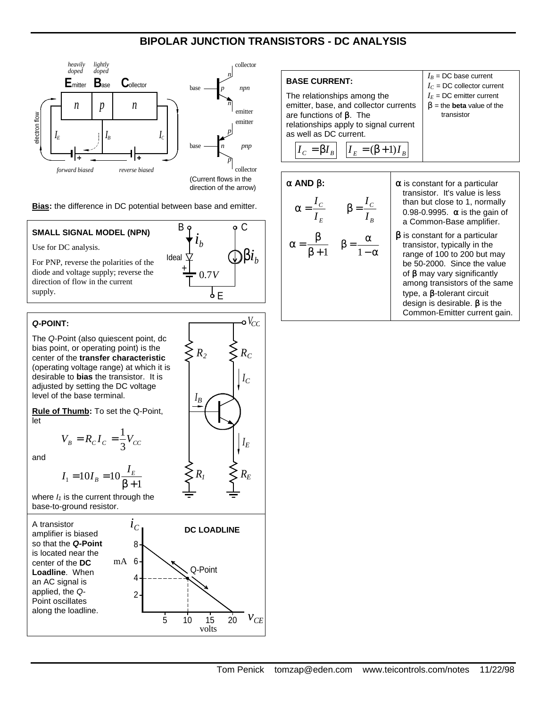# **BIPOLAR JUNCTION TRANSISTORS - DC ANALYSIS**



**Bias:** the difference in DC potential between base and emitter.

### **SMALL SIGNAL MODEL (NPN)**

Use for DC analysis.

For PNP, reverse the polarities of the diode and voltage supply; reverse the direction of flow in the current supply.



*R1*

*IB*

#### *Q***-POINT:**

The *Q*-Point (also quiescent point, dc bias point, or operating point) is the center of the **transfer characteristic** (operating voltage range) at which it is desirable to **bias** the transistor. It is adjusted by setting the DC voltage level of the base terminal.

**Rule of Thumb:** To set the Q-Point, let

$$
V_B = R_C I_C = \frac{1}{3} V_{CC}
$$

and

 $I_1 = 10I_B = 10\frac{I_E}{\beta + 1}$  $=10I_{B}=10\frac{I_{E}}{\rho_{B}}$  $I_1 = 10I_B = 10\frac{I}{2}$ 

where  $I_1$  is the current through the base-to-ground resistor.



**BASE CURRENT:** The relationships among the emitter, base, and collector currents are functions of  $β$ . The relationships apply to signal current as well as DC current.  $I_c = \beta I_B$ *I*<sub>*C*</sub> = β*I*<sub>*B*</sub>  $\left| I_E = (\beta + 1)I_B \right|$  $I_B$  = DC base current  $I_C$  = DC collector current  $I_E$  = DC emitter current  $β =$  the **beta** value of the transistor

$$
\alpha \text{ AND } \beta: \alpha = \frac{I_C}{I_E} \qquad \beta = \frac{I_C}{I_B} \qquad \begin{array}{c} \alpha \text{ in } \\ \text{ in } \\ 0 \\ \alpha \\ \alpha = \frac{\beta}{\beta + 1} \qquad \beta = \frac{\alpha}{1 - \alpha} \qquad \begin{array}{c} \alpha \text{ in } \\ \text{ in } \\ 0 \\ \text{ in } \\ \text{ in } \\ \text{ in } \\ \text{ in } \\ \text{ in } \\ \text{ in } \\ \text{ in } \\ \text{ in } \\ \text{ in } \\ \text{ in } \\ \text{ in } \\ \text{ in } \\ \text{ in } \\ \text{ in } \\ \text{ in } \\ \text{ in } \\ \text{ in } \\ \text{ in } \\ \text{ in } \\ \text{ in } \\ \text{ in } \\ \text{ in } \\ \text{ in } \\ \text{ in } \\ \text{ in } \\ \text{ in } \\ \text{ in } \\ \text{ in } \\ \text{ in } \\ \text{ in } \\ \text{ in } \\ \text{ in } \\ \text{ in } \\ \text{ in } \\ \text{ in } \\ \text{ in } \\ \text{ in } \\ \text{ in } \\ \text{ in } \\ \text{ in } \\ \text{ in } \\ \text{ in } \\ \text{ in } \\ \text{ in } \\ \text{ in } \\ \text{ in } \\ \text{ in } \\ \text{ in } \\ \text{ in } \\ \text{ in } \\ \text{ in } \\ \text{ in } \\ \text{ in } \\ \text{ in } \\ \text{ in } \\ \text{ in } \\ \text{ in } \\ \text{ in } \\ \text{ in } \\ \text{ in } \\ \text{ in } \\ \text{ in } \\ \text{ in } \\ \text{ in } \\ \text{ in } \\ \text{ in } \\ \text{ in } \\ \text{ in } \\ \text{ in } \\ \text{ in } \\ \text{ in } \\ \text{ in } \\ \text{ in } \\ \text{ in } \\ \text{ in } \\ \text{ in } \\ \text{ in } \\ \text{ in } \\ \text{ in } \\ \text{ in } \\ \text{ in } \\ \text{ in } \\ \text{ in } \\ \text{ in } \\ \text{ in } \\ \text{ in } \\ \text{ in } \\ \text{ in } \\ \text{ in } \\ \text{ in } \\ \text{ in } \\ \text{ in } \\ \text{ in } \\ \text{ in } \\ \text{ in } \\ \text{ in } \\ \text{ in } \\ \text{ in } \\ \text{ in } \\ \text{ in } \\ \text{ in } \\ \text{ in } \\ \text{ in } \\ \text{ in } \\ \text{ in } \\ \text{ in } \\
$$

s constant for a particular transistor. It's value is less han but close to 1, normally 0.98-0.9995.  $\alpha$  is the gain of Common-Base amplifier.

$$
\beta
$$
 is constant for a particular transistor, typically in the range of 100 to 200 but may be 50-2000. Since the value of  $\beta$  may vary significantly among transistors of the same type, a  $\beta$ -tolerant circuit design is desirable.  $\beta$  is the Common-Emitter current gain.

 $R_2 \leq R_C$  $\circ V_{CC}$ 

*I E*

*IC*

*R E*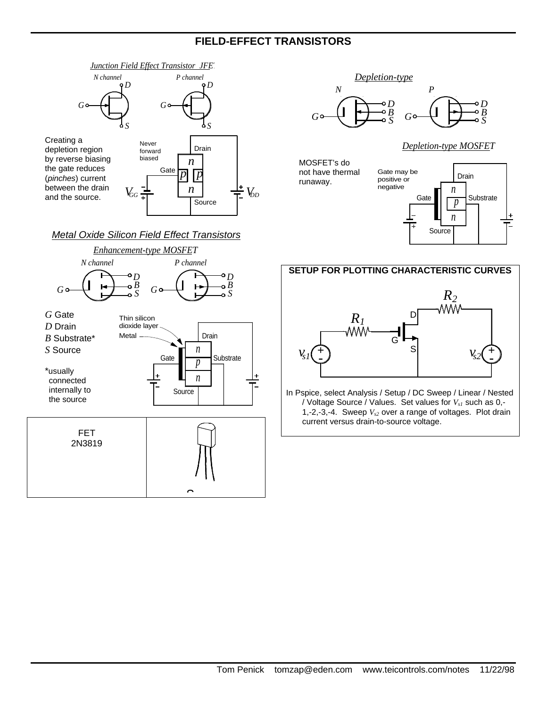# **FIELD-EFFECT TRANSISTORS**



*Metal Oxide Silicon Field Effect Transistors*





*Depletion-type MOSFET*

MOSFET's do not have thermal runaway.





In Pspice, select Analysis / Setup / DC Sweep / Linear / Nested / Voltage Source / Values. Set values for *Vs1* such as 0,- 1,-2,-3,-4. Sweep *Vs2* over a range of voltages. Plot drain current versus drain-to-source voltage.